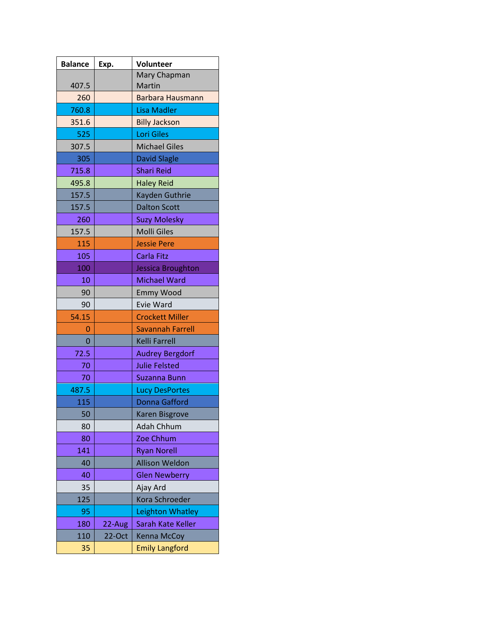| <b>Balance</b> | Exp.      | <b>Volunteer</b>        |
|----------------|-----------|-------------------------|
|                |           | Mary Chapman            |
| 407.5          |           | Martin                  |
| 260            |           | <b>Barbara Hausmann</b> |
| 760.8          |           | <b>Lisa Madler</b>      |
| 351.6          |           | <b>Billy Jackson</b>    |
| 525            |           | <b>Lori Giles</b>       |
| 307.5          |           | <b>Michael Giles</b>    |
| 305            |           | <b>David Slagle</b>     |
| 715.8          |           | <b>Shari Reid</b>       |
| 495.8          |           | <b>Haley Reid</b>       |
| 157.5          |           | Kayden Guthrie          |
| 157.5          |           | <b>Dalton Scott</b>     |
| 260            |           | <b>Suzy Molesky</b>     |
| 157.5          |           | <b>Molli Giles</b>      |
| 115            |           | <b>Jessie Pere</b>      |
| 105            |           | <b>Carla Fitz</b>       |
| 100            |           | Jessica Broughton       |
| 10             |           | <b>Michael Ward</b>     |
| 90             |           | <b>Emmy Wood</b>        |
| 90             |           | Evie Ward               |
| 54.15          |           | <b>Crockett Miller</b>  |
| 0              |           | <b>Savannah Farrell</b> |
| 0              |           | Kelli Farrell           |
| 72.5           |           | <b>Audrey Bergdorf</b>  |
| 70             |           | <b>Julie Felsted</b>    |
| 70             |           | <b>Suzanna Bunn</b>     |
| 487.5          |           | <b>Lucy DesPortes</b>   |
| 115            |           | <b>Donna Gafford</b>    |
| 50             |           | Karen Bisgrove          |
| 80             |           | Adah Chhum              |
| 80             |           | Zoe Chhum               |
| 141            |           | <b>Ryan Norell</b>      |
| 40             |           | <b>Allison Weldon</b>   |
| 40             |           | <b>Glen Newberry</b>    |
| 35             |           | Ajay Ard                |
| 125            |           | Kora Schroeder          |
| 95             |           | Leighton Whatley        |
| 180            | 22-Aug    | Sarah Kate Keller       |
| 110            | $22$ -Oct | Kenna McCoy             |
| 35             |           | <b>Emily Langford</b>   |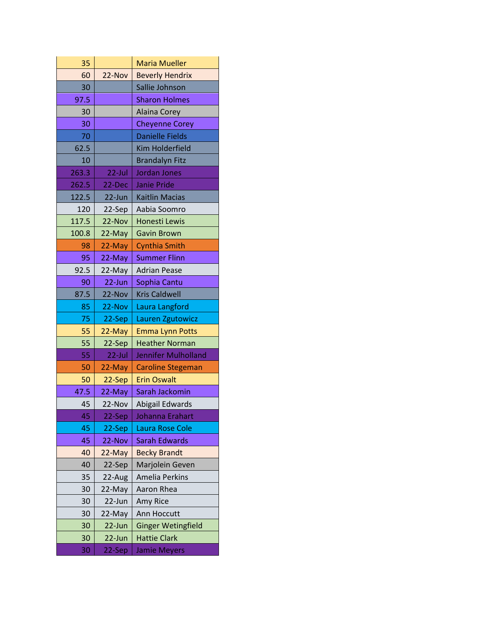| 35    |           | <b>Maria Mueller</b>      |
|-------|-----------|---------------------------|
| 60    | 22-Nov    | <b>Beverly Hendrix</b>    |
| 30    |           | Sallie Johnson            |
| 97.5  |           | <b>Sharon Holmes</b>      |
| 30    |           | Alaina Corey              |
| 30    |           | <b>Cheyenne Corey</b>     |
| 70    |           | <b>Danielle Fields</b>    |
| 62.5  |           | <b>Kim Holderfield</b>    |
| 10    |           | <b>Brandalyn Fitz</b>     |
| 263.3 | $22$ -Jul | Jordan Jones              |
| 262.5 | 22-Dec    | <b>Janie Pride</b>        |
| 122.5 | 22-Jun    | <b>Kaitlin Macias</b>     |
| 120   | 22-Sep    | Aabia Soomro              |
| 117.5 | 22-Nov    | Honesti Lewis             |
| 100.8 | 22-May    | <b>Gavin Brown</b>        |
| 98    | 22-May    | <b>Cynthia Smith</b>      |
| 95    | 22-May    | <b>Summer Flinn</b>       |
| 92.5  | 22-May    | <b>Adrian Pease</b>       |
| 90    | $22$ -Jun | Sophia Cantu              |
| 87.5  | 22-Nov    | <b>Kris Caldwell</b>      |
| 85    | 22-Nov    | Laura Langford            |
| 75    | 22-Sep    | Lauren Zgutowicz          |
| 55    | 22-May    | <b>Emma Lynn Potts</b>    |
| 55    | 22-Sep    | <b>Heather Norman</b>     |
| 55    | $22$ -Jul | Jennifer Mulholland       |
| 50    | 22-May    | <b>Caroline Stegeman</b>  |
| 50    | 22-Sep    | <b>Erin Oswalt</b>        |
| 47.5  | 22-May    | Sarah Jackomin            |
| 45    | 22-Nov    | Abigail Edwards           |
| 45    | 22-Sep    | Johanna Erahart           |
| 45    | 22-Sep    | Laura Rose Cole           |
| 45    | 22-Nov    | Sarah Edwards             |
| 40    | 22-May    | <b>Becky Brandt</b>       |
| 40    | 22-Sep    | Marjolein Geven           |
| 35    | 22-Aug    | Amelia Perkins            |
| 30    | 22-May    | Aaron Rhea                |
| 30    | 22-Jun    | Amy Rice                  |
| 30    | 22-May    | Ann Hoccutt               |
| 30    | 22-Jun    | <b>Ginger Wetingfield</b> |
| 30    | 22-Jun    | <b>Hattie Clark</b>       |
| 30    | 22-Sep    | <b>Jamie Meyers</b>       |